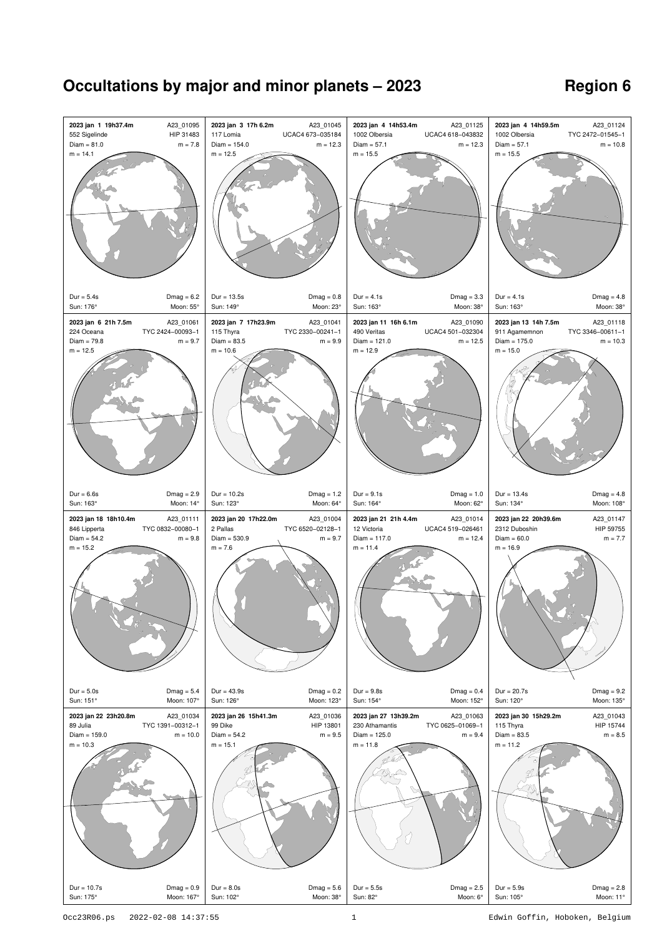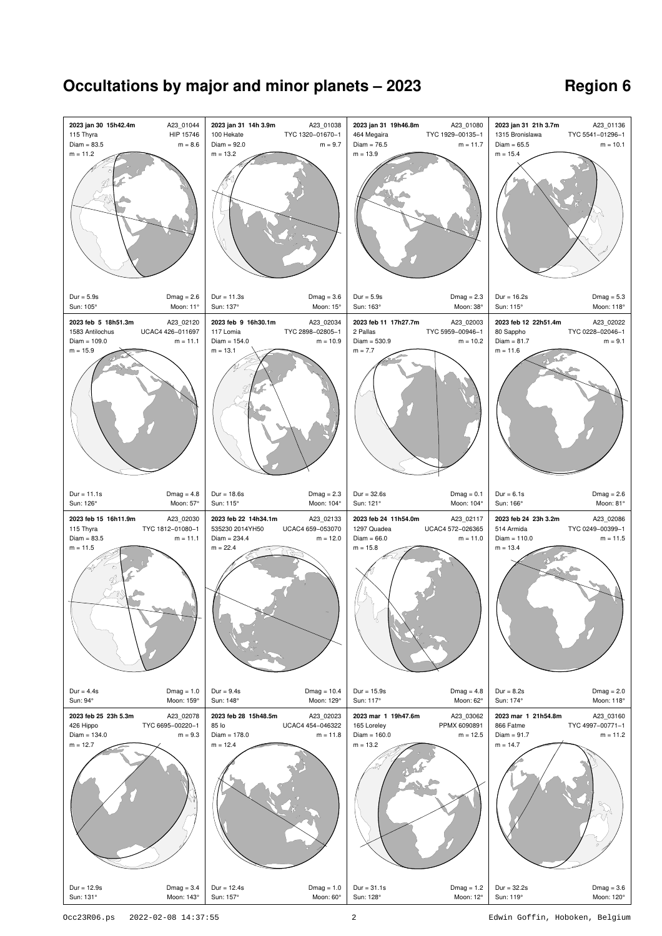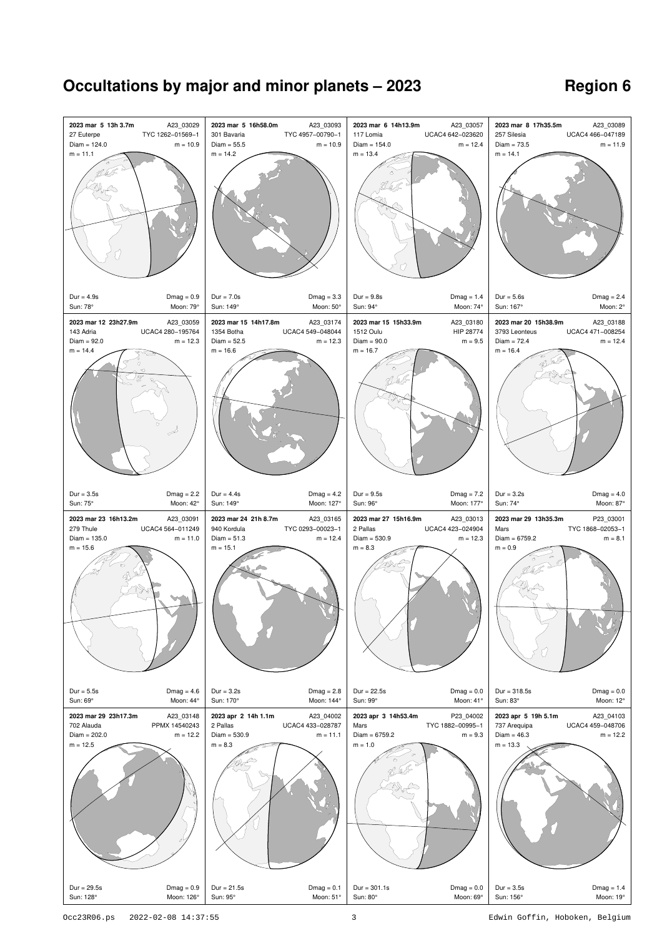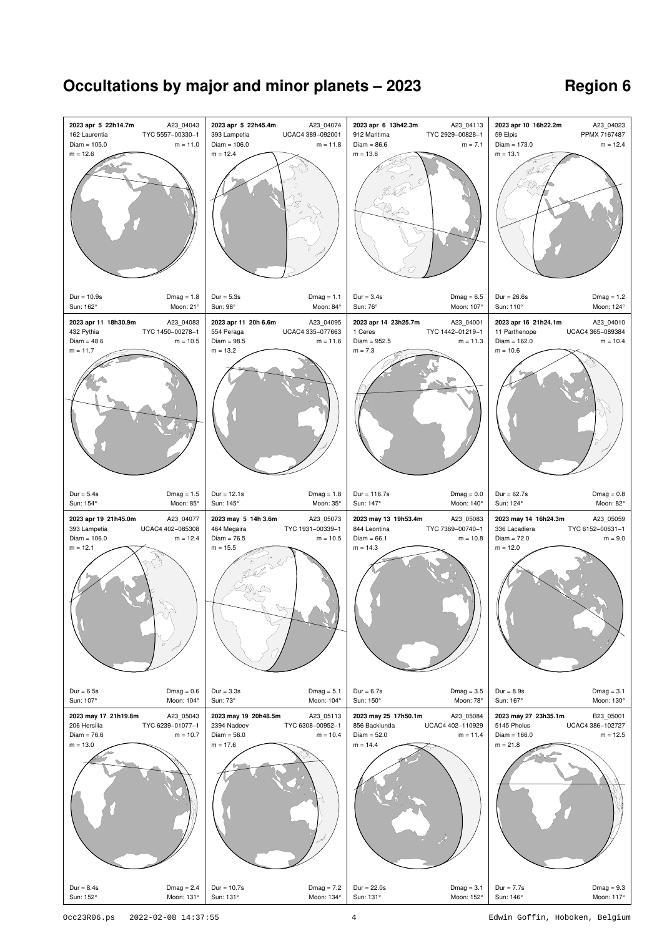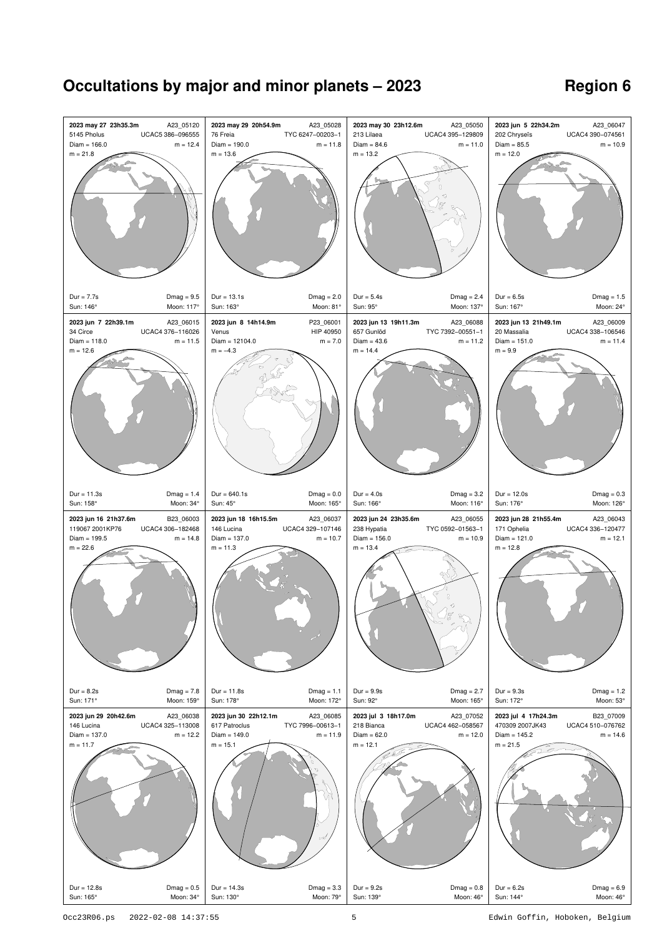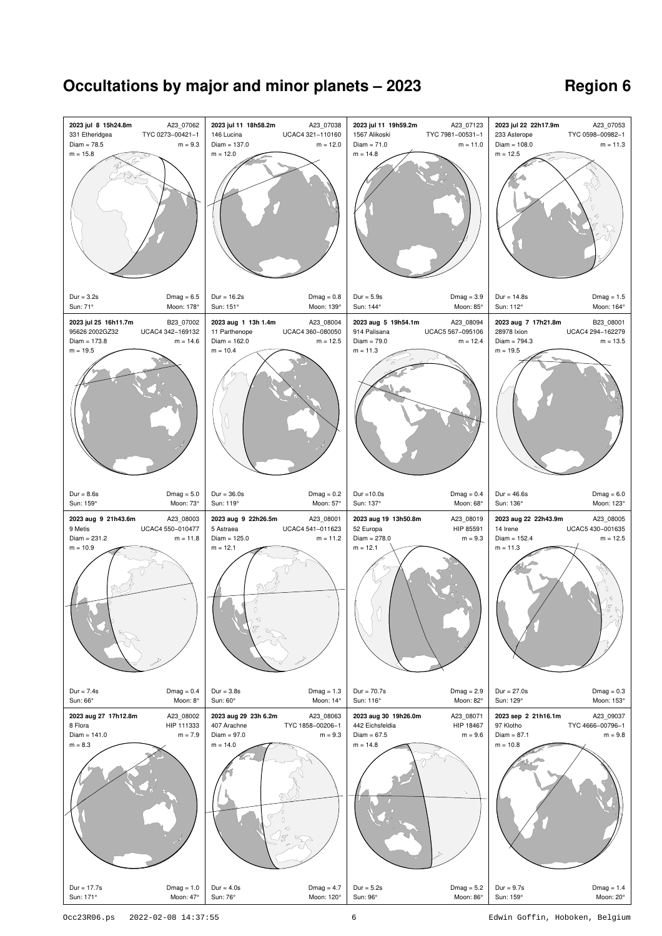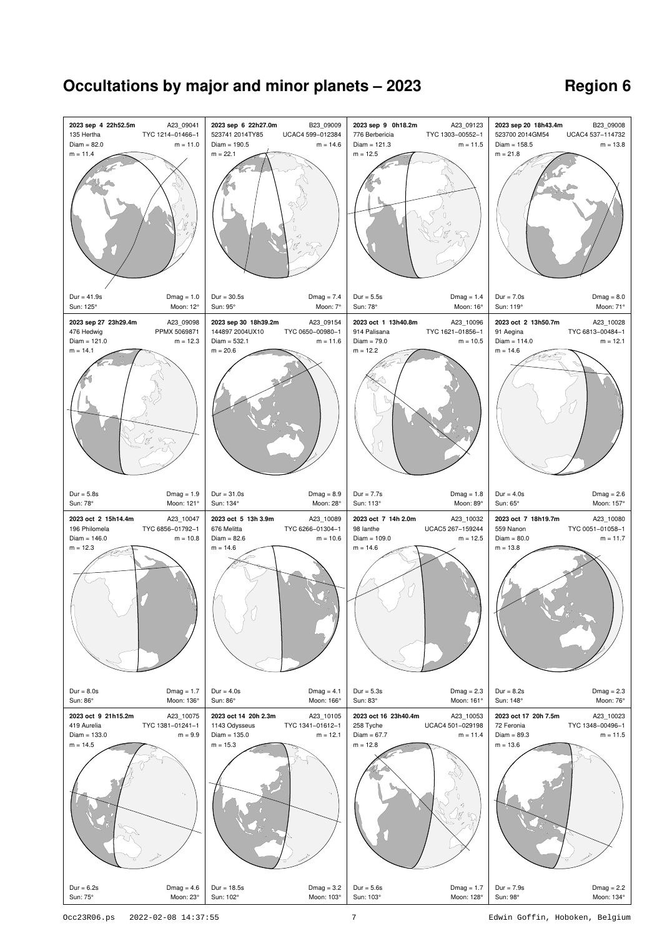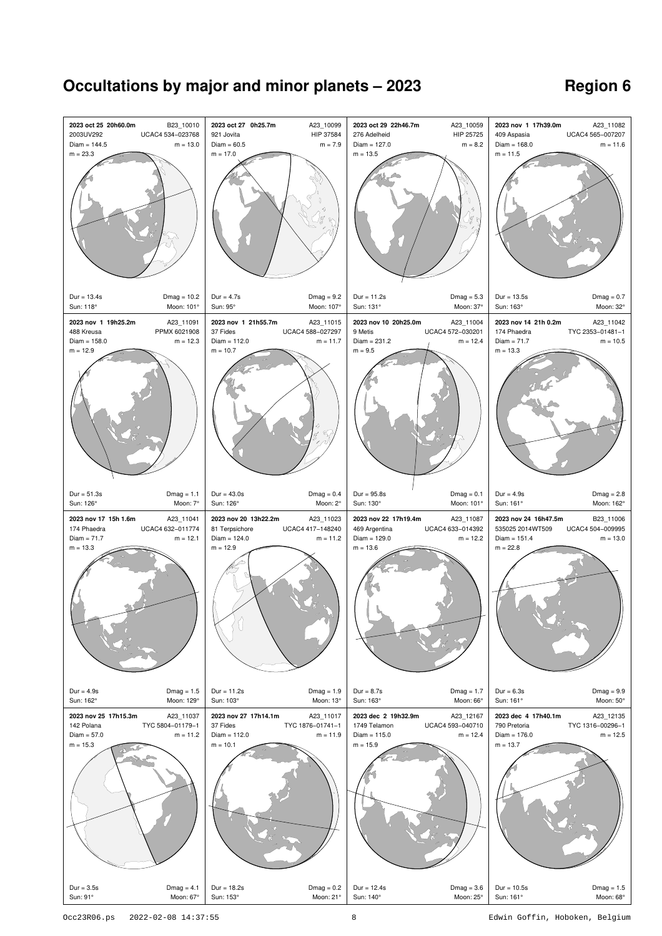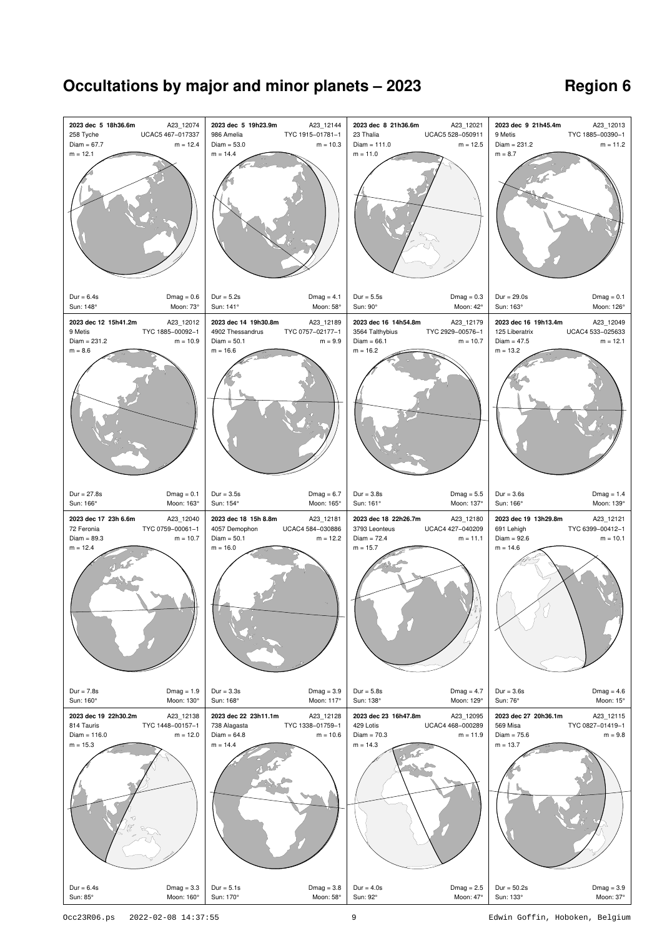